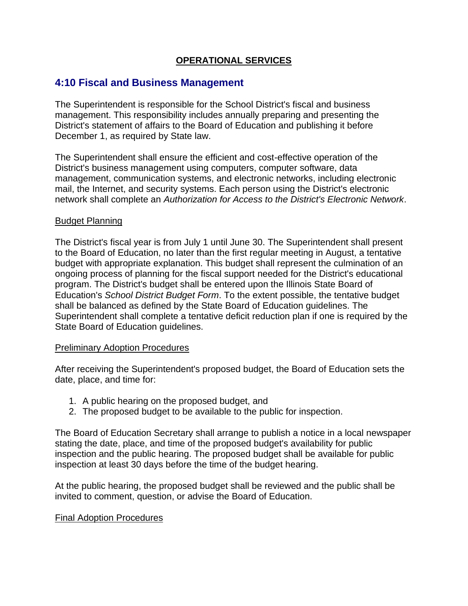## **OPERATIONAL SERVICES**

# **4:10 Fiscal and Business Management**

The Superintendent is responsible for the School District's fiscal and business management. This responsibility includes annually preparing and presenting the District's statement of affairs to the Board of Education and publishing it before December 1, as required by State law.

The Superintendent shall ensure the efficient and cost-effective operation of the District's business management using computers, computer software, data management, communication systems, and electronic networks, including electronic mail, the Internet, and security systems. Each person using the District's electronic network shall complete an *Authorization for Access to the District's Electronic Network*.

#### Budget Planning

The District's fiscal year is from July 1 until June 30. The Superintendent shall present to the Board of Education, no later than the first regular meeting in August, a tentative budget with appropriate explanation. This budget shall represent the culmination of an ongoing process of planning for the fiscal support needed for the District's educational program. The District's budget shall be entered upon the Illinois State Board of Education's *School District Budget Form*. To the extent possible, the tentative budget shall be balanced as defined by the State Board of Education guidelines. The Superintendent shall complete a tentative deficit reduction plan if one is required by the State Board of Education guidelines.

#### Preliminary Adoption Procedures

After receiving the Superintendent's proposed budget, the Board of Education sets the date, place, and time for:

- 1. A public hearing on the proposed budget, and
- 2. The proposed budget to be available to the public for inspection.

The Board of Education Secretary shall arrange to publish a notice in a local newspaper stating the date, place, and time of the proposed budget's availability for public inspection and the public hearing. The proposed budget shall be available for public inspection at least 30 days before the time of the budget hearing.

At the public hearing, the proposed budget shall be reviewed and the public shall be invited to comment, question, or advise the Board of Education.

#### Final Adoption Procedures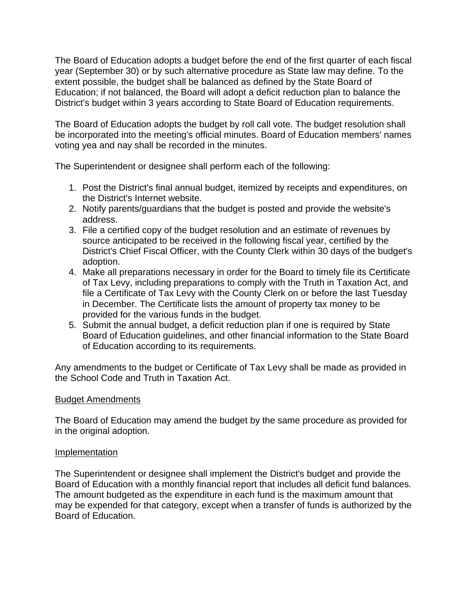The Board of Education adopts a budget before the end of the first quarter of each fiscal year (September 30) or by such alternative procedure as State law may define. To the extent possible, the budget shall be balanced as defined by the State Board of Education; if not balanced, the Board will adopt a deficit reduction plan to balance the District's budget within 3 years according to State Board of Education requirements.

The Board of Education adopts the budget by roll call vote. The budget resolution shall be incorporated into the meeting's official minutes. Board of Education members' names voting yea and nay shall be recorded in the minutes.

The Superintendent or designee shall perform each of the following:

- 1. Post the District's final annual budget, itemized by receipts and expenditures, on the District's Internet website.
- 2. Notify parents/guardians that the budget is posted and provide the website's address.
- 3. File a certified copy of the budget resolution and an estimate of revenues by source anticipated to be received in the following fiscal year, certified by the District's Chief Fiscal Officer, with the County Clerk within 30 days of the budget's adoption.
- 4. Make all preparations necessary in order for the Board to timely file its Certificate of Tax Levy, including preparations to comply with the Truth in Taxation Act, and file a Certificate of Tax Levy with the County Clerk on or before the last Tuesday in December. The Certificate lists the amount of property tax money to be provided for the various funds in the budget.
- 5. Submit the annual budget, a deficit reduction plan if one is required by State Board of Education guidelines, and other financial information to the State Board of Education according to its requirements.

Any amendments to the budget or Certificate of Tax Levy shall be made as provided in the School Code and Truth in Taxation Act.

## Budget Amendments

The Board of Education may amend the budget by the same procedure as provided for in the original adoption.

## Implementation

The Superintendent or designee shall implement the District's budget and provide the Board of Education with a monthly financial report that includes all deficit fund balances. The amount budgeted as the expenditure in each fund is the maximum amount that may be expended for that category, except when a transfer of funds is authorized by the Board of Education.